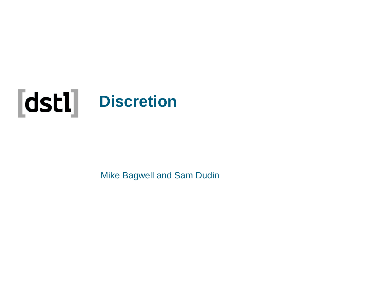

Mike Bagwell and Sam Dudin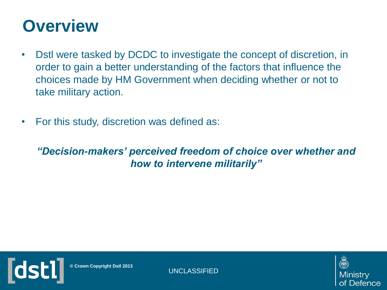#### **Overview**

- Dstl were tasked by DCDC to investigate the concept of discretion, in order to gain a better understanding of the factors that influence the choices made by HM Government when deciding whether or not to take military action.
- For this study, discretion was defined as:

#### *"Decision-makers' perceived freedom of choice over whether and how to intervene militarily"*



**© Crown Copyright Dstl 2013**

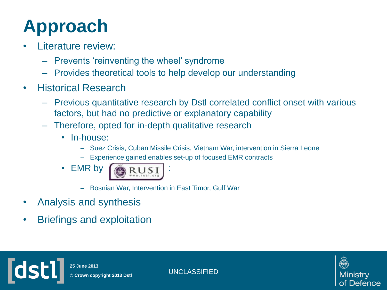# **Approach**

- Literature review:
	- Prevents 'reinventing the wheel' syndrome
	- Provides theoretical tools to help develop our understanding
- Historical Research
	- Previous quantitative research by Dstl correlated conflict onset with various factors, but had no predictive or explanatory capability
	- Therefore, opted for in-depth qualitative research
		- In-house:
			- Suez Crisis, Cuban Missile Crisis, Vietnam War, intervention in Sierra Leone
			- Experience gained enables set-up of focused EMR contracts
			- **EMR** by



- Bosnian War, Intervention in East Timor, Gulf War
- Analysis and synthesis

**Idsl** 

• Briefings and exploitation



UNCLASSIFIED **© Crown copyright 2013 Dstl 25 June 2013**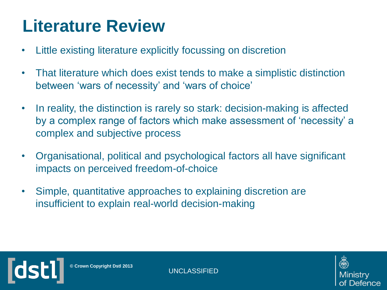#### **Literature Review**

- Little existing literature explicitly focussing on discretion
- That literature which does exist tends to make a simplistic distinction between 'wars of necessity' and 'wars of choice'
- In reality, the distinction is rarely so stark: decision-making is affected by a complex range of factors which make assessment of 'necessity' a complex and subjective process
- Organisational, political and psychological factors all have significant impacts on perceived freedom-of-choice
- Simple, quantitative approaches to explaining discretion are insufficient to explain real-world decision-making



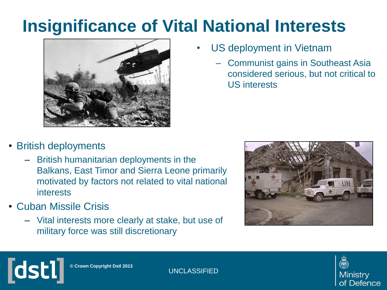#### **Insignificance of Vital National Interests**



- US deployment in Vietnam
	- Communist gains in Southeast Asia considered serious, but not critical to US interests

#### • British deployments

- British humanitarian deployments in the Balkans, East Timor and Sierra Leone primarily motivated by factors not related to vital national interests
- Cuban Missile Crisis

**dstl** 

– Vital interests more clearly at stake, but use of military force was still discretionary





**© Crown Copyright Dstl 2013**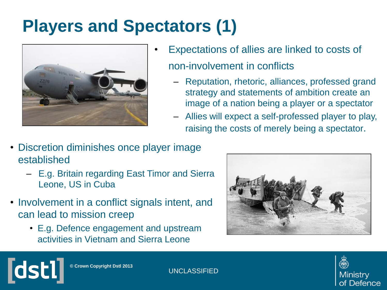# **Players and Spectators (1)**



- Expectations of allies are linked to costs of non-involvement in conflicts
	- Reputation, rhetoric, alliances, professed grand strategy and statements of ambition create an image of a nation being a player or a spectator
	- Allies will expect a self-professed player to play, raising the costs of merely being a spectator.
- Discretion diminishes once player image established
	- E.g. Britain regarding East Timor and Sierra Leone, US in Cuba
- Involvement in a conflict signals intent, and can lead to mission creep
	- E.g. Defence engagement and upstream activities in Vietnam and Sierra Leone





**© Crown Copyright Dstl 2013**

**ldsti**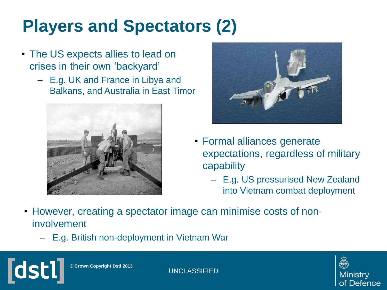# **Players and Spectators (2)**

- The US expects allies to lead on crises in their own 'backyard'
	- E.g. UK and France in Libya and Balkans, and Australia in East Timor





- Formal alliances generate expectations, regardless of military capability
	- E.g. US pressurised New Zealand into Vietnam combat deployment
- However, creating a spectator image can minimise costs of noninvolvement
	- E.g. British non-deployment in Vietnam War

**© Crown Copyright Dstl 2013**

**ldst** 

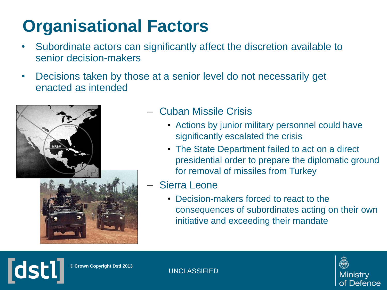# **Organisational Factors**

- Subordinate actors can significantly affect the discretion available to senior decision-makers
- Decisions taken by those at a senior level do not necessarily get enacted as intended



#### – Cuban Missile Crisis

- Actions by junior military personnel could have significantly escalated the crisis
- The State Department failed to act on a direct presidential order to prepare the diplomatic ground for removal of missiles from Turkey
- Sierra Leone
	- Decision-makers forced to react to the consequences of subordinates acting on their own initiative and exceeding their mandate



**© Crown Copyright Dstl 2013**

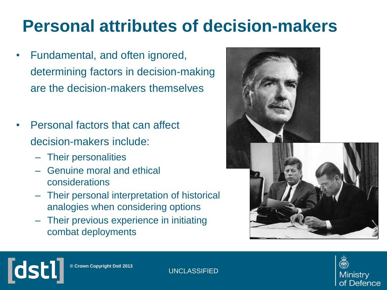#### **Personal attributes of decision-makers**

- Fundamental, and often ignored, determining factors in decision-making are the decision-makers themselves
- Personal factors that can affect decision-makers include:
	- Their personalities
	- Genuine moral and ethical considerations
	- Their personal interpretation of historical analogies when considering options
	- Their previous experience in initiating combat deployments





**© Crown Copyright Dstl 2013**

**Tdstl**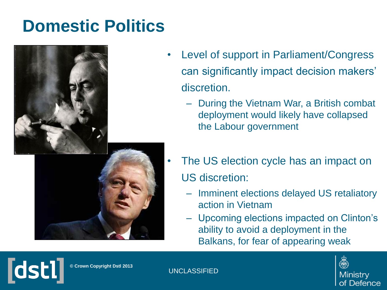#### **Domestic Politics**



- Level of support in Parliament/Congress can significantly impact decision makers' discretion.
	- During the Vietnam War, a British combat deployment would likely have collapsed the Labour government
- The US election cycle has an impact on US discretion:
	- Imminent elections delayed US retaliatory action in Vietnam
	- Upcoming elections impacted on Clinton's ability to avoid a deployment in the Balkans, for fear of appearing weak



**© Crown Copyright Dstl 2013**

**Tdsti**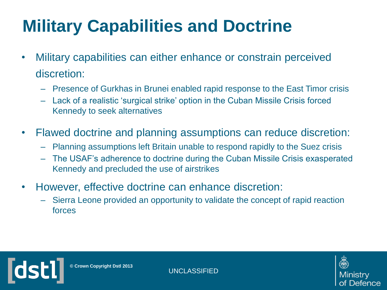# **Military Capabilities and Doctrine**

- Military capabilities can either enhance or constrain perceived discretion:
	- Presence of Gurkhas in Brunei enabled rapid response to the East Timor crisis
	- Lack of a realistic 'surgical strike' option in the Cuban Missile Crisis forced Kennedy to seek alternatives
- Flawed doctrine and planning assumptions can reduce discretion:
	- Planning assumptions left Britain unable to respond rapidly to the Suez crisis
	- The USAF's adherence to doctrine during the Cuban Missile Crisis exasperated Kennedy and precluded the use of airstrikes
- However, effective doctrine can enhance discretion:
	- Sierra Leone provided an opportunity to validate the concept of rapid reaction forces



**© Crown Copyright Dstl 2013**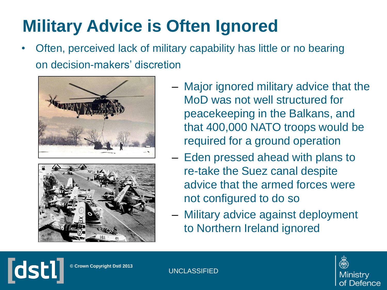# **Military Advice is Often Ignored**

• Often, perceived lack of military capability has little or no bearing on decision-makers' discretion





- Major ignored military advice that the MoD was not well structured for peacekeeping in the Balkans, and that 400,000 NATO troops would be required for a ground operation
- Eden pressed ahead with plans to re-take the Suez canal despite advice that the armed forces were not configured to do so
- Military advice against deployment to Northern Ireland ignored



**© Crown Copyright Dstl 2013**

**Idsti**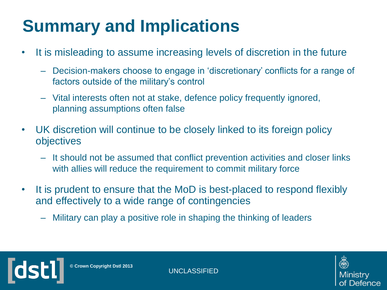# **Summary and Implications**

- It is misleading to assume increasing levels of discretion in the future
	- Decision-makers choose to engage in 'discretionary' conflicts for a range of factors outside of the military's control
	- Vital interests often not at stake, defence policy frequently ignored, planning assumptions often false
- UK discretion will continue to be closely linked to its foreign policy objectives
	- It should not be assumed that conflict prevention activities and closer links with allies will reduce the requirement to commit military force
- It is prudent to ensure that the MoD is best-placed to respond flexibly and effectively to a wide range of contingencies
	- Military can play a positive role in shaping the thinking of leaders



**© Crown Copyright Dstl 2013**

**Idsl**